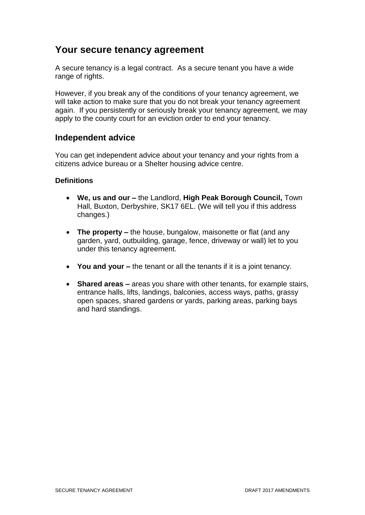# **Your secure tenancy agreement**

A secure tenancy is a legal contract. As a secure tenant you have a wide range of rights.

However, if you break any of the conditions of your tenancy agreement, we will take action to make sure that you do not break your tenancy agreement again. If you persistently or seriously break your tenancy agreement, we may apply to the county court for an eviction order to end your tenancy.

#### **Independent advice**

You can get independent advice about your tenancy and your rights from a citizens advice bureau or a Shelter housing advice centre.

#### **Definitions**

- **We, us and our –** the Landlord, **High Peak Borough Council,** Town Hall, Buxton, Derbyshire, SK17 6EL. (We will tell you if this address changes.)
- The property the house, bungalow, maisonette or flat (and any garden, yard, outbuilding, garage, fence, driveway or wall) let to you under this tenancy agreement.
- **You and your –** the tenant or all the tenants if it is a joint tenancy.
- **Shared areas –** areas you share with other tenants, for example stairs, entrance halls, lifts, landings, balconies, access ways, paths, grassy open spaces, shared gardens or yards, parking areas, parking bays and hard standings.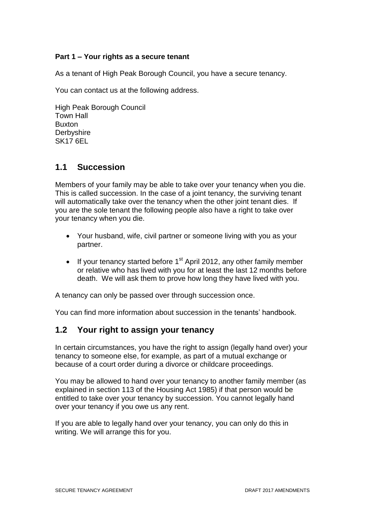#### **Part 1 – Your rights as a secure tenant**

As a tenant of High Peak Borough Council, you have a secure tenancy.

You can contact us at the following address.

High Peak Borough Council Town Hall Buxton **Derbyshire** SK17 6EL

## **1.1 Succession**

Members of your family may be able to take over your tenancy when you die. This is called succession. In the case of a joint tenancy, the surviving tenant will automatically take over the tenancy when the other joint tenant dies. If you are the sole tenant the following people also have a right to take over your tenancy when you die.

- Your husband, wife, civil partner or someone living with you as your partner.
- If your tenancy started before  $1<sup>st</sup>$  April 2012, any other family member or relative who has lived with you for at least the last 12 months before death. We will ask them to prove how long they have lived with you.

A tenancy can only be passed over through succession once.

You can find more information about succession in the tenants' handbook.

## **1.2 Your right to assign your tenancy**

In certain circumstances, you have the right to assign (legally hand over) your tenancy to someone else, for example, as part of a mutual exchange or because of a court order during a divorce or childcare proceedings.

You may be allowed to hand over your tenancy to another family member (as explained in section 113 of the Housing Act 1985) if that person would be entitled to take over your tenancy by succession. You cannot legally hand over your tenancy if you owe us any rent.

If you are able to legally hand over your tenancy, you can only do this in writing. We will arrange this for you.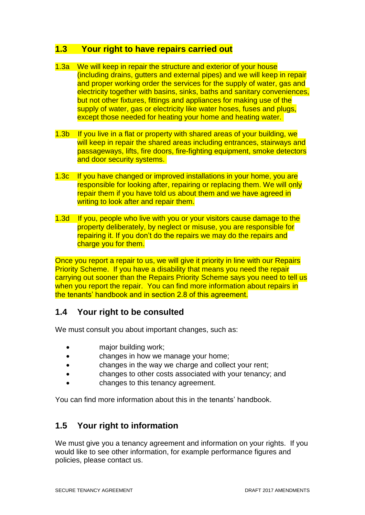### **1.3 Your right to have repairs carried out**

- 1.3a We will keep in repair the structure and exterior of your house (including drains, gutters and external pipes) and we will keep in repair and proper working order the services for the supply of water, gas and electricity together with basins, sinks, baths and sanitary conveniences, but not other fixtures, fittings and appliances for making use of the supply of water, gas or electricity like water hoses, fuses and plugs, except those needed for heating your home and heating water.
- 1.3b If you live in a flat or property with shared areas of your building, we will keep in repair the shared areas including entrances, stairways and passageways, lifts, fire doors, fire-fighting equipment, smoke detectors and door security systems.
- 1.3c If you have changed or improved installations in your home, you are responsible for looking after, repairing or replacing them. We will only repair them if you have told us about them and we have agreed in writing to look after and repair them.
- 1.3d If you, people who live with you or your visitors cause damage to the property deliberately, by neglect or misuse, you are responsible for repairing it. If you don't do the repairs we may do the repairs and charge you for them.

Once you report a repair to us, we will give it priority in line with our Repairs Priority Scheme. If you have a disability that means you need the repair carrying out sooner than the Repairs Priority Scheme says you need to tell us when you report the repair. You can find more information about repairs in the tenants' handbook and in section 2.8 of this agreement.

## **1.4 Your right to be consulted**

We must consult you about important changes, such as:

- major building work;
- changes in how we manage your home;
- changes in the way we charge and collect your rent;
- changes to other costs associated with your tenancy; and
- changes to this tenancy agreement.

You can find more information about this in the tenants' handbook.

# **1.5 Your right to information**

We must give you a tenancy agreement and information on your rights. If you would like to see other information, for example performance figures and policies, please contact us.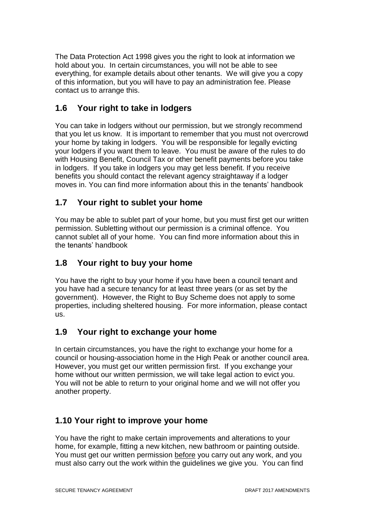The Data Protection Act 1998 gives you the right to look at information we hold about you. In certain circumstances, you will not be able to see everything, for example details about other tenants. We will give you a copy of this information, but you will have to pay an administration fee. Please contact us to arrange this.

# **1.6 Your right to take in lodgers**

You can take in lodgers without our permission, but we strongly recommend that you let us know. It is important to remember that you must not overcrowd your home by taking in lodgers. You will be responsible for legally evicting your lodgers if you want them to leave. You must be aware of the rules to do with Housing Benefit, Council Tax or other benefit payments before you take in lodgers. If you take in lodgers you may get less benefit. If you receive benefits you should contact the relevant agency straightaway if a lodger moves in. You can find more information about this in the tenants' handbook

# **1.7 Your right to sublet your home**

You may be able to sublet part of your home, but you must first get our written permission. Subletting without our permission is a criminal offence. You cannot sublet all of your home. You can find more information about this in the tenants' handbook

# **1.8 Your right to buy your home**

You have the right to buy your home if you have been a council tenant and you have had a secure tenancy for at least three years (or as set by the government). However, the Right to Buy Scheme does not apply to some properties, including sheltered housing. For more information, please contact us.

# **1.9 Your right to exchange your home**

In certain circumstances, you have the right to exchange your home for a council or housing-association home in the High Peak or another council area. However, you must get our written permission first. If you exchange your home without our written permission, we will take legal action to evict you. You will not be able to return to your original home and we will not offer you another property.

# **1.10 Your right to improve your home**

You have the right to make certain improvements and alterations to your home, for example, fitting a new kitchen, new bathroom or painting outside. You must get our written permission before you carry out any work, and you must also carry out the work within the guidelines we give you. You can find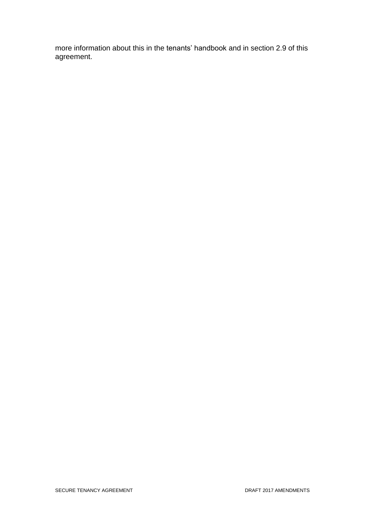more information about this in the tenants' handbook and in section 2.9 of this agreement.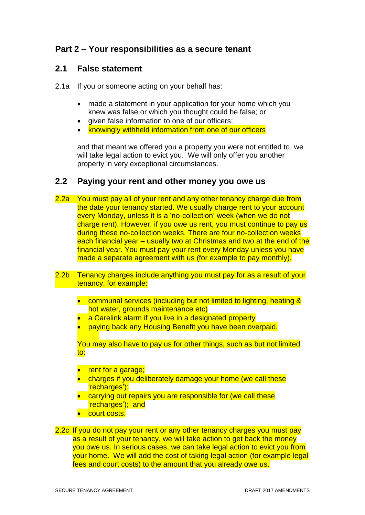## **Part 2 – Your responsibilities as a secure tenant**

#### **2.1 False statement**

- 2.1a If you or someone acting on your behalf has:
	- made a statement in your application for your home which you knew was false or which you thought could be false; or
	- given false information to one of our officers;
	- knowingly withheld information from one of our officers

and that meant we offered you a property you were not entitled to, we will take legal action to evict you. We will only offer you another property in very exceptional circumstances.

#### **2.2 Paying your rent and other money you owe us**

- 2.2a You must pay all of your rent and any other tenancy charge due from the date your tenancy started. We usually charge rent to your account every Monday, unless it is a 'no-collection' week (when we do not charge rent). However, if you owe us rent, you must continue to pay us during these no-collection weeks. There are four no-collection weeks each financial year – usually two at Christmas and two at the end of the financial year. You must pay your rent every Monday unless you have made a separate agreement with us (for example to pay monthly).
- 2.2b Tenancy charges include anything you must pay for as a result of your tenancy, for example:
	- communal services (including but not limited to lighting, heating & hot water, grounds maintenance etc)
	- a Carelink alarm if you live in a designated property
	- paying back any Housing Benefit you have been overpaid.

You may also have to pay us for other things, such as but not limited to:

- rent for a garage;
- charges if you deliberately damage your home (we call these 'recharges');
- carrying out repairs you are responsible for (we call these 'recharges'); and
- **court costs.**

2.2c If you do not pay your rent or any other tenancy charges you must pay as a result of your tenancy, we will take action to get back the money you owe us. In serious cases, we can take legal action to evict you from your home. We will add the cost of taking legal action (for example legal fees and court costs) to the amount that you already owe us.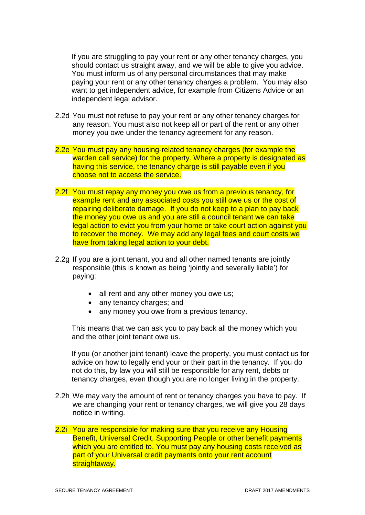If you are struggling to pay your rent or any other tenancy charges, you should contact us straight away, and we will be able to give you advice. You must inform us of any personal circumstances that may make paying your rent or any other tenancy charges a problem. You may also want to get independent advice, for example from Citizens Advice or an independent legal advisor.

- 2.2d You must not refuse to pay your rent or any other tenancy charges for any reason. You must also not keep all or part of the rent or any other money you owe under the tenancy agreement for any reason.
- 2.2e You must pay any housing-related tenancy charges (for example the warden call service) for the property. Where a property is designated as having this service, the tenancy charge is still payable even if you choose not to access the service.
- 2.2f You must repay any money you owe us from a previous tenancy, for example rent and any associated costs you still owe us or the cost of repairing deliberate damage. If you do not keep to a plan to pay back the money you owe us and you are still a council tenant we can take legal action to evict you from your home or take court action against you to recover the money. We may add any legal fees and court costs we have from taking legal action to your debt.
- 2.2g If you are a joint tenant, you and all other named tenants are jointly responsible (this is known as being 'jointly and severally liable') for paying:
	- all rent and any other money you owe us;
	- any tenancy charges; and
	- any money you owe from a previous tenancy.

This means that we can ask you to pay back all the money which you and the other joint tenant owe us.

If you (or another joint tenant) leave the property, you must contact us for advice on how to legally end your or their part in the tenancy. If you do not do this, by law you will still be responsible for any rent, debts or tenancy charges, even though you are no longer living in the property.

- 2.2h We may vary the amount of rent or tenancy charges you have to pay. If we are changing your rent or tenancy charges, we will give you 28 days notice in writing.
- 2.2i You are responsible for making sure that you receive any Housing Benefit, Universal Credit, Supporting People or other benefit payments which you are entitled to. You must pay any housing costs received as part of your Universal credit payments onto your rent account straightaway.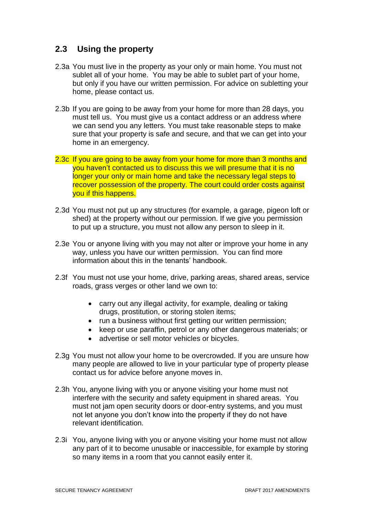## **2.3 Using the property**

- 2.3a You must live in the property as your only or main home. You must not sublet all of your home. You may be able to sublet part of your home, but only if you have our written permission. For advice on subletting your home, please contact us.
- 2.3b If you are going to be away from your home for more than 28 days, you must tell us. You must give us a contact address or an address where we can send you any letters. You must take reasonable steps to make sure that your property is safe and secure, and that we can get into your home in an emergency.
- 2.3c If you are going to be away from your home for more than 3 months and you haven't contacted us to discuss this we will presume that it is no longer your only or main home and take the necessary legal steps to recover possession of the property. The court could order costs against you if this happens.
- 2.3d You must not put up any structures (for example, a garage, pigeon loft or shed) at the property without our permission. If we give you permission to put up a structure, you must not allow any person to sleep in it.
- 2.3e You or anyone living with you may not alter or improve your home in any way, unless you have our written permission. You can find more information about this in the tenants' handbook.
- 2.3f You must not use your home, drive, parking areas, shared areas, service roads, grass verges or other land we own to:
	- carry out any illegal activity, for example, dealing or taking drugs, prostitution, or storing stolen items;
	- run a business without first getting our written permission;
	- keep or use paraffin, petrol or any other dangerous materials; or
	- advertise or sell motor vehicles or bicycles.
- 2.3g You must not allow your home to be overcrowded. If you are unsure how many people are allowed to live in your particular type of property please contact us for advice before anyone moves in.
- 2.3h You, anyone living with you or anyone visiting your home must not interfere with the security and safety equipment in shared areas. You must not jam open security doors or door-entry systems, and you must not let anyone you don't know into the property if they do not have relevant identification.
- 2.3i You, anyone living with you or anyone visiting your home must not allow any part of it to become unusable or inaccessible, for example by storing so many items in a room that you cannot easily enter it.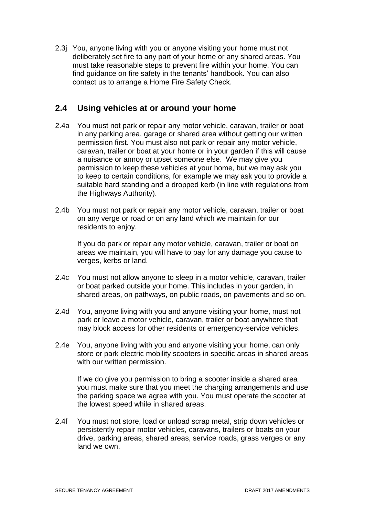2.3j You, anyone living with you or anyone visiting your home must not deliberately set fire to any part of your home or any shared areas. You must take reasonable steps to prevent fire within your home. You can find guidance on fire safety in the tenants' handbook. You can also contact us to arrange a Home Fire Safety Check.

## **2.4 Using vehicles at or around your home**

- 2.4a You must not park or repair any motor vehicle, caravan, trailer or boat in any parking area, garage or shared area without getting our written permission first. You must also not park or repair any motor vehicle, caravan, trailer or boat at your home or in your garden if this will cause a nuisance or annoy or upset someone else. We may give you permission to keep these vehicles at your home, but we may ask you to keep to certain conditions, for example we may ask you to provide a suitable hard standing and a dropped kerb (in line with regulations from the Highways Authority).
- 2.4b You must not park or repair any motor vehicle, caravan, trailer or boat on any verge or road or on any land which we maintain for our residents to enjoy.

If you do park or repair any motor vehicle, caravan, trailer or boat on areas we maintain, you will have to pay for any damage you cause to verges, kerbs or land.

- 2.4c You must not allow anyone to sleep in a motor vehicle, caravan, trailer or boat parked outside your home. This includes in your garden, in shared areas, on pathways, on public roads, on pavements and so on.
- 2.4d You, anyone living with you and anyone visiting your home, must not park or leave a motor vehicle, caravan, trailer or boat anywhere that may block access for other residents or emergency-service vehicles.
- 2.4e You, anyone living with you and anyone visiting your home, can only store or park electric mobility scooters in specific areas in shared areas with our written permission.

If we do give you permission to bring a scooter inside a shared area you must make sure that you meet the charging arrangements and use the parking space we agree with you. You must operate the scooter at the lowest speed while in shared areas.

2.4f You must not store, load or unload scrap metal, strip down vehicles or persistently repair motor vehicles, caravans, trailers or boats on your drive, parking areas, shared areas, service roads, grass verges or any land we own.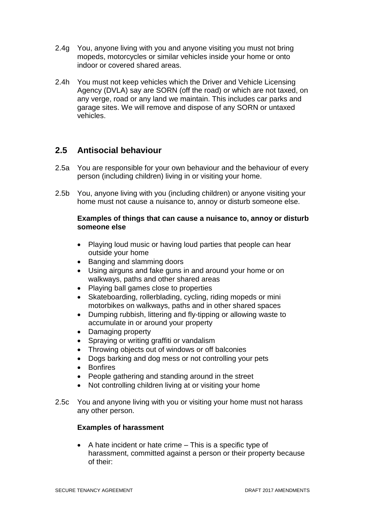- 2.4g You, anyone living with you and anyone visiting you must not bring mopeds, motorcycles or similar vehicles inside your home or onto indoor or covered shared areas.
- 2.4h You must not keep vehicles which the Driver and Vehicle Licensing Agency (DVLA) say are SORN (off the road) or which are not taxed, on any verge, road or any land we maintain. This includes car parks and garage sites. We will remove and dispose of any SORN or untaxed vehicles.

# **2.5 Antisocial behaviour**

- 2.5a You are responsible for your own behaviour and the behaviour of every person (including children) living in or visiting your home.
- 2.5b You, anyone living with you (including children) or anyone visiting your home must not cause a nuisance to, annoy or disturb someone else.

#### **Examples of things that can cause a nuisance to, annoy or disturb someone else**

- Playing loud music or having loud parties that people can hear outside your home
- Banging and slamming doors
- Using airguns and fake guns in and around your home or on walkways, paths and other shared areas
- Playing ball games close to properties
- Skateboarding, rollerblading, cycling, riding mopeds or mini motorbikes on walkways, paths and in other shared spaces
- Dumping rubbish, littering and fly-tipping or allowing waste to accumulate in or around your property
- Damaging property
- Spraying or writing graffiti or vandalism
- Throwing objects out of windows or off balconies
- Dogs barking and dog mess or not controlling your pets
- Bonfires
- People gathering and standing around in the street
- Not controlling children living at or visiting your home
- 2.5c You and anyone living with you or visiting your home must not harass any other person.

#### **Examples of harassment**

 $\bullet$  A hate incident or hate crime  $-$  This is a specific type of harassment, committed against a person or their property because of their: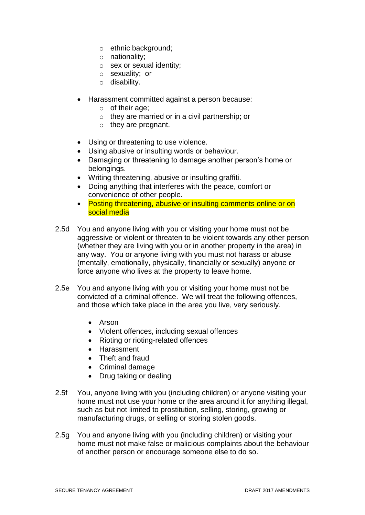- o ethnic background;
- o nationality;
- o sex or sexual identity;
- o sexuality; or
- o disability.
- Harassment committed against a person because:
	- o of their age;
	- o they are married or in a civil partnership; or
	- $\circ$  they are pregnant.
- Using or threatening to use violence.
- Using abusive or insulting words or behaviour.
- Damaging or threatening to damage another person's home or belongings.
- Writing threatening, abusive or insulting graffiti.
- Doing anything that interferes with the peace, comfort or convenience of other people.
- Posting threatening, abusive or insulting comments online or on social media
- 2.5d You and anyone living with you or visiting your home must not be aggressive or violent or threaten to be violent towards any other person (whether they are living with you or in another property in the area) in any way. You or anyone living with you must not harass or abuse (mentally, emotionally, physically, financially or sexually) anyone or force anyone who lives at the property to leave home.
- 2.5e You and anyone living with you or visiting your home must not be convicted of a criminal offence. We will treat the following offences, and those which take place in the area you live, very seriously.
	- Arson
	- Violent offences, including sexual offences
	- Rioting or rioting-related offences
	- Harassment
	- Theft and fraud
	- Criminal damage
	- Drug taking or dealing
- 2.5f You, anyone living with you (including children) or anyone visiting your home must not use your home or the area around it for anything illegal, such as but not limited to prostitution, selling, storing, growing or manufacturing drugs, or selling or storing stolen goods.
- 2.5g You and anyone living with you (including children) or visiting your home must not make false or malicious complaints about the behaviour of another person or encourage someone else to do so.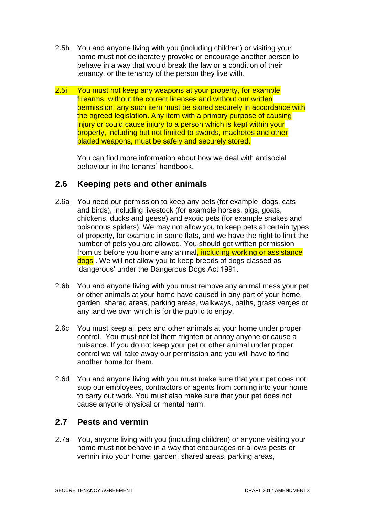- 2.5h You and anyone living with you (including children) or visiting your home must not deliberately provoke or encourage another person to behave in a way that would break the law or a condition of their tenancy, or the tenancy of the person they live with.
- 2.5i You must not keep any weapons at your property, for example firearms, without the correct licenses and without our written permission; any such item must be stored securely in accordance with the agreed legislation. Any item with a primary purpose of causing injury or could cause injury to a person which is kept within your property, including but not limited to swords, machetes and other bladed weapons, must be safely and securely stored.

You can find more information about how we deal with antisocial behaviour in the tenants' handbook.

## **2.6 Keeping pets and other animals**

- 2.6a You need our permission to keep any pets (for example, dogs, cats and birds), including livestock (for example horses, pigs, goats, chickens, ducks and geese) and exotic pets (for example snakes and poisonous spiders). We may not allow you to keep pets at certain types of property, for example in some flats, and we have the right to limit the number of pets you are allowed. You should get written permission from us before you home any animal, including working or assistance dogs . We will not allow you to keep breeds of dogs classed as 'dangerous' under the Dangerous Dogs Act 1991.
- 2.6b You and anyone living with you must remove any animal mess your pet or other animals at your home have caused in any part of your home, garden, shared areas, parking areas, walkways, paths, grass verges or any land we own which is for the public to enjoy.
- 2.6c You must keep all pets and other animals at your home under proper control. You must not let them frighten or annoy anyone or cause a nuisance. If you do not keep your pet or other animal under proper control we will take away our permission and you will have to find another home for them.
- 2.6d You and anyone living with you must make sure that your pet does not stop our employees, contractors or agents from coming into your home to carry out work. You must also make sure that your pet does not cause anyone physical or mental harm.

## **2.7 Pests and vermin**

2.7a You, anyone living with you (including children) or anyone visiting your home must not behave in a way that encourages or allows pests or vermin into your home, garden, shared areas, parking areas,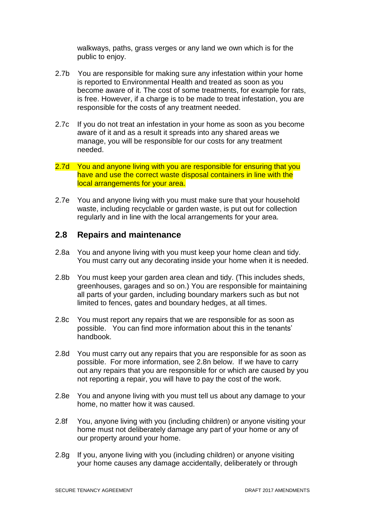walkways, paths, grass verges or any land we own which is for the public to enjoy.

- 2.7b You are responsible for making sure any infestation within your home is reported to Environmental Health and treated as soon as you become aware of it. The cost of some treatments, for example for rats, is free. However, if a charge is to be made to treat infestation, you are responsible for the costs of any treatment needed.
- 2.7c If you do not treat an infestation in your home as soon as you become aware of it and as a result it spreads into any shared areas we manage, you will be responsible for our costs for any treatment needed.
- 2.7d You and anyone living with you are responsible for ensuring that you have and use the correct waste disposal containers in line with the local arrangements for your area.
- 2.7e You and anyone living with you must make sure that your household waste, including recyclable or garden waste, is put out for collection regularly and in line with the local arrangements for your area.

#### **2.8 Repairs and maintenance**

- 2.8a You and anyone living with you must keep your home clean and tidy. You must carry out any decorating inside your home when it is needed.
- 2.8b You must keep your garden area clean and tidy. (This includes sheds, greenhouses, garages and so on.) You are responsible for maintaining all parts of your garden, including boundary markers such as but not limited to fences, gates and boundary hedges, at all times.
- 2.8c You must report any repairs that we are responsible for as soon as possible. You can find more information about this in the tenants' handbook.
- 2.8d You must carry out any repairs that you are responsible for as soon as possible. For more information, see 2.8n below. If we have to carry out any repairs that you are responsible for or which are caused by you not reporting a repair, you will have to pay the cost of the work.
- 2.8e You and anyone living with you must tell us about any damage to your home, no matter how it was caused.
- 2.8f You, anyone living with you (including children) or anyone visiting your home must not deliberately damage any part of your home or any of our property around your home.
- 2.8g If you, anyone living with you (including children) or anyone visiting your home causes any damage accidentally, deliberately or through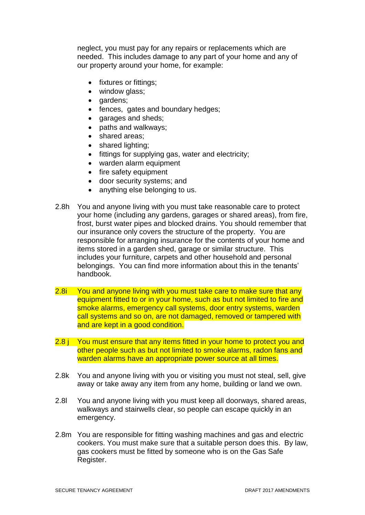neglect, you must pay for any repairs or replacements which are needed. This includes damage to any part of your home and any of our property around your home, for example:

- fixtures or fittings;
- window glass;
- dardens:
- fences, gates and boundary hedges;
- garages and sheds;
- paths and walkways;
- shared areas:
- shared lighting:
- fittings for supplying gas, water and electricity;
- warden alarm equipment
- fire safety equipment
- door security systems; and
- anything else belonging to us.
- 2.8h You and anyone living with you must take reasonable care to protect your home (including any gardens, garages or shared areas), from fire, frost, burst water pipes and blocked drains. You should remember that our insurance only covers the structure of the property. You are responsible for arranging insurance for the contents of your home and items stored in a garden shed, garage or similar structure. This includes your furniture, carpets and other household and personal belongings. You can find more information about this in the tenants' handbook.
- 2.8i You and anyone living with you must take care to make sure that any equipment fitted to or in your home, such as but not limited to fire and smoke alarms, emergency call systems, door entry systems, warden call systems and so on, are not damaged, removed or tampered with and are kept in a good condition.
- 2.8 j You must ensure that any items fitted in your home to protect you and other people such as but not limited to smoke alarms, radon fans and warden alarms have an appropriate power source at all times.
- 2.8k You and anyone living with you or visiting you must not steal, sell, give away or take away any item from any home, building or land we own.
- 2.8l You and anyone living with you must keep all doorways, shared areas, walkways and stairwells clear, so people can escape quickly in an emergency.
- 2.8m You are responsible for fitting washing machines and gas and electric cookers. You must make sure that a suitable person does this. By law, gas cookers must be fitted by someone who is on the Gas Safe Register.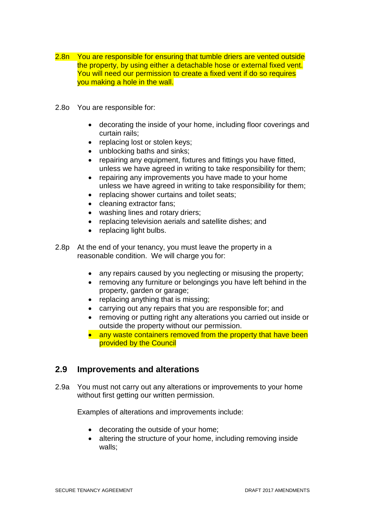- 2.8n You are responsible for ensuring that tumble driers are vented outside the property, by using either a detachable hose or external fixed vent. You will need our permission to create a fixed vent if do so requires you making a hole in the wall.
- 2.8o You are responsible for:
	- decorating the inside of your home, including floor coverings and curtain rails;
	- replacing lost or stolen keys;
	- unblocking baths and sinks;
	- repairing any equipment, fixtures and fittings you have fitted, unless we have agreed in writing to take responsibility for them;
	- repairing any improvements you have made to your home unless we have agreed in writing to take responsibility for them;
	- replacing shower curtains and toilet seats:
	- cleaning extractor fans;
	- washing lines and rotary driers;
	- replacing television aerials and satellite dishes; and
	- replacing light bulbs.
- 2.8p At the end of your tenancy, you must leave the property in a reasonable condition. We will charge you for:
	- any repairs caused by you neglecting or misusing the property;
	- removing any furniture or belongings you have left behind in the property, garden or garage;
	- replacing anything that is missing;
	- carrying out any repairs that you are responsible for; and
	- removing or putting right any alterations you carried out inside or outside the property without our permission.
	- any waste containers removed from the property that have been provided by the Council

#### **2.9 Improvements and alterations**

2.9a You must not carry out any alterations or improvements to your home without first getting our written permission.

Examples of alterations and improvements include:

- decorating the outside of your home;
- altering the structure of your home, including removing inside walls;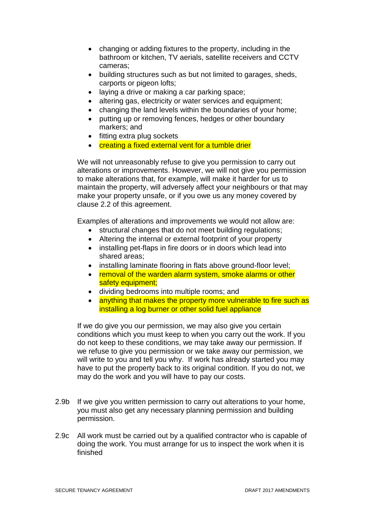- changing or adding fixtures to the property, including in the bathroom or kitchen, TV aerials, satellite receivers and CCTV cameras;
- building structures such as but not limited to garages, sheds, carports or pigeon lofts;
- laying a drive or making a car parking space;
- altering gas, electricity or water services and equipment;
- changing the land levels within the boundaries of your home;
- putting up or removing fences, hedges or other boundary markers; and
- fitting extra plug sockets
- **•** creating a fixed external vent for a tumble drier

We will not unreasonably refuse to give you permission to carry out alterations or improvements. However, we will not give you permission to make alterations that, for example, will make it harder for us to maintain the property, will adversely affect your neighbours or that may make your property unsafe, or if you owe us any money covered by clause 2.2 of this agreement.

Examples of alterations and improvements we would not allow are:

- structural changes that do not meet building regulations;
- Altering the internal or external footprint of your property
- installing pet-flaps in fire doors or in doors which lead into shared areas;
- installing laminate flooring in flats above ground-floor level;
- removal of the warden alarm system, smoke alarms or other safety equipment;
- dividing bedrooms into multiple rooms; and
- anything that makes the property more vulnerable to fire such as installing a log burner or other solid fuel appliance

If we do give you our permission, we may also give you certain conditions which you must keep to when you carry out the work. If you do not keep to these conditions, we may take away our permission. If we refuse to give you permission or we take away our permission, we will write to you and tell you why. If work has already started you may have to put the property back to its original condition. If you do not, we may do the work and you will have to pay our costs.

- 2.9b If we give you written permission to carry out alterations to your home, you must also get any necessary planning permission and building permission.
- 2.9c All work must be carried out by a qualified contractor who is capable of doing the work. You must arrange for us to inspect the work when it is finished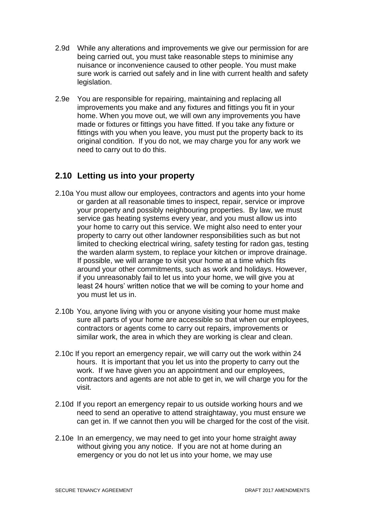- 2.9d While any alterations and improvements we give our permission for are being carried out, you must take reasonable steps to minimise any nuisance or inconvenience caused to other people. You must make sure work is carried out safely and in line with current health and safety legislation.
- 2.9e You are responsible for repairing, maintaining and replacing all improvements you make and any fixtures and fittings you fit in your home. When you move out, we will own any improvements you have made or fixtures or fittings you have fitted. If you take any fixture or fittings with you when you leave, you must put the property back to its original condition. If you do not, we may charge you for any work we need to carry out to do this.

## **2.10 Letting us into your property**

- 2.10a You must allow our employees, contractors and agents into your home or garden at all reasonable times to inspect, repair, service or improve your property and possibly neighbouring properties. By law, we must service gas heating systems every year, and you must allow us into your home to carry out this service. We might also need to enter your property to carry out other landowner responsibilities such as but not limited to checking electrical wiring, safety testing for radon gas, testing the warden alarm system, to replace your kitchen or improve drainage. If possible, we will arrange to visit your home at a time which fits around your other commitments, such as work and holidays. However, if you unreasonably fail to let us into your home, we will give you at least 24 hours' written notice that we will be coming to your home and you must let us in.
- 2.10b You, anyone living with you or anyone visiting your home must make sure all parts of your home are accessible so that when our employees, contractors or agents come to carry out repairs, improvements or similar work, the area in which they are working is clear and clean.
- 2.10c If you report an emergency repair, we will carry out the work within 24 hours. It is important that you let us into the property to carry out the work. If we have given you an appointment and our employees, contractors and agents are not able to get in, we will charge you for the visit.
- 2.10d If you report an emergency repair to us outside working hours and we need to send an operative to attend straightaway, you must ensure we can get in. If we cannot then you will be charged for the cost of the visit.
- 2.10e In an emergency, we may need to get into your home straight away without giving you any notice. If you are not at home during an emergency or you do not let us into your home, we may use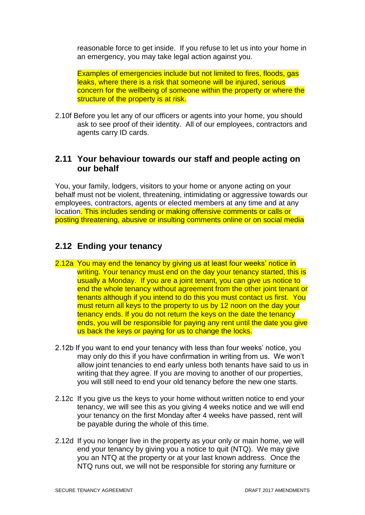reasonable force to get inside. If you refuse to let us into your home in an emergency, you may take legal action against you.

Examples of emergencies include but not limited to fires, floods, gas leaks, where there is a risk that someone will be injured, serious concern for the wellbeing of someone within the property or where the structure of the property is at risk.

2.10f Before you let any of our officers or agents into your home, you should ask to see proof of their identity. All of our employees, contractors and agents carry ID cards.

### **2.11 Your behaviour towards our staff and people acting on our behalf**

You, your family, lodgers, visitors to your home or anyone acting on your behalf must not be violent, threatening, intimidating or aggressive towards our employees, contractors, agents or elected members at any time and at any location. This includes sending or making offensive comments or calls or posting threatening, abusive or insulting comments online or on social media

# **2.12 Ending your tenancy**

- 2.12a You may end the tenancy by giving us at least four weeks' notice in writing. Your tenancy must end on the day your tenancy started, this is usually a Monday. If you are a joint tenant, you can give us notice to end the whole tenancy without agreement from the other joint tenant or tenants although if you intend to do this you must contact us first. You must return all keys to the property to us by 12 noon on the day your tenancy ends. If you do not return the keys on the date the tenancy ends, you will be responsible for paying any rent until the date you give us back the keys or paying for us to change the locks.
- 2.12b If you want to end your tenancy with less than four weeks' notice, you may only do this if you have confirmation in writing from us. We won't allow joint tenancies to end early unless both tenants have said to us in writing that they agree. If you are moving to another of our properties, you will still need to end your old tenancy before the new one starts.
- 2.12c If you give us the keys to your home without written notice to end your tenancy, we will see this as you giving 4 weeks notice and we will end your tenancy on the first Monday after 4 weeks have passed, rent will be payable during the whole of this time.
- 2.12d If you no longer live in the property as your only or main home, we will end your tenancy by giving you a notice to quit (NTQ). We may give you an NTQ at the property or at your last known address. Once the NTQ runs out, we will not be responsible for storing any furniture or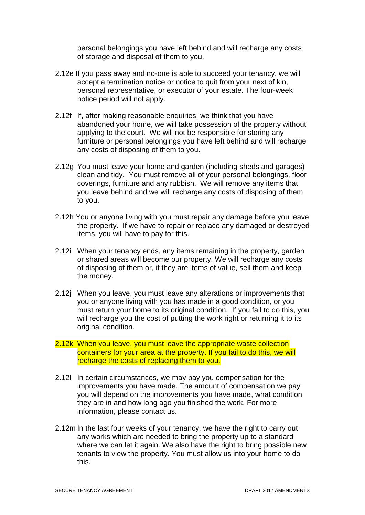personal belongings you have left behind and will recharge any costs of storage and disposal of them to you.

- 2.12e If you pass away and no-one is able to succeed your tenancy, we will accept a termination notice or notice to quit from your next of kin, personal representative, or executor of your estate. The four-week notice period will not apply.
- 2.12f If, after making reasonable enquiries, we think that you have abandoned your home, we will take possession of the property without applying to the court. We will not be responsible for storing any furniture or personal belongings you have left behind and will recharge any costs of disposing of them to you.
- 2.12g You must leave your home and garden (including sheds and garages) clean and tidy. You must remove all of your personal belongings, floor coverings, furniture and any rubbish. We will remove any items that you leave behind and we will recharge any costs of disposing of them to you.
- 2.12h You or anyone living with you must repair any damage before you leave the property. If we have to repair or replace any damaged or destroyed items, you will have to pay for this.
- 2.12i When your tenancy ends, any items remaining in the property, garden or shared areas will become our property. We will recharge any costs of disposing of them or, if they are items of value, sell them and keep the money.
- 2.12j When you leave, you must leave any alterations or improvements that you or anyone living with you has made in a good condition, or you must return your home to its original condition. If you fail to do this, you will recharge you the cost of putting the work right or returning it to its original condition.
- 2.12k When you leave, you must leave the appropriate waste collection containers for your area at the property. If you fail to do this, we will recharge the costs of replacing them to you.
- 2.12l In certain circumstances, we may pay you compensation for the improvements you have made. The amount of compensation we pay you will depend on the improvements you have made, what condition they are in and how long ago you finished the work. For more information, please contact us.
- 2.12m In the last four weeks of your tenancy, we have the right to carry out any works which are needed to bring the property up to a standard where we can let it again. We also have the right to bring possible new tenants to view the property. You must allow us into your home to do this.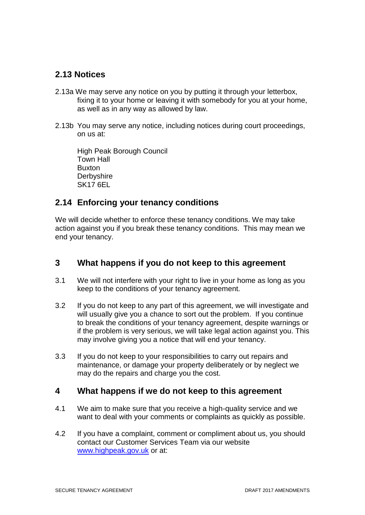## **2.13 Notices**

- 2.13a We may serve any notice on you by putting it through your letterbox, fixing it to your home or leaving it with somebody for you at your home, as well as in any way as allowed by law.
- 2.13b You may serve any notice, including notices during court proceedings, on us at:

High Peak Borough Council Town Hall Buxton **Derbyshire** SK17 6EL

## **2.14 Enforcing your tenancy conditions**

We will decide whether to enforce these tenancy conditions. We may take action against you if you break these tenancy conditions. This may mean we end your tenancy.

## **3 What happens if you do not keep to this agreement**

- 3.1 We will not interfere with your right to live in your home as long as you keep to the conditions of your tenancy agreement.
- 3.2 If you do not keep to any part of this agreement, we will investigate and will usually give you a chance to sort out the problem. If you continue to break the conditions of your tenancy agreement, despite warnings or if the problem is very serious, we will take legal action against you. This may involve giving you a notice that will end your tenancy.
- 3.3 If you do not keep to your responsibilities to carry out repairs and maintenance, or damage your property deliberately or by neglect we may do the repairs and charge you the cost.

#### **4 What happens if we do not keep to this agreement**

- 4.1 We aim to make sure that you receive a high-quality service and we want to deal with your comments or complaints as quickly as possible.
- 4.2 If you have a complaint, comment or compliment about us, you should contact our Customer Services Team via our website [www.highpeak.gov.uk](http://www.highpeak.gov.uk/) or at: